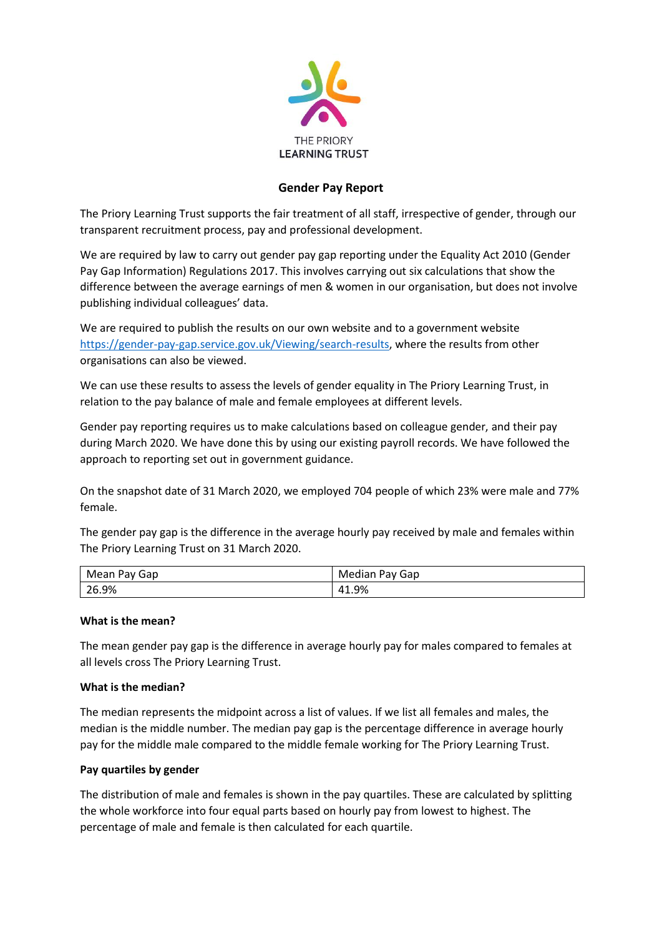

# **Gender Pay Report**

The Priory Learning Trust supports the fair treatment of all staff, irrespective of gender, through our transparent recruitment process, pay and professional development.

We are required by law to carry out gender pay gap reporting under the Equality Act 2010 (Gender Pay Gap Information) Regulations 2017. This involves carrying out six calculations that show the difference between the average earnings of men & women in our organisation, but does not involve publishing individual colleagues' data.

We are required to publish the results on our own website and to a government website [https://gender-pay-gap.service.gov.uk/Viewing/search-results,](https://gender-pay-gap.service.gov.uk/Viewing/search-results) where the results from other organisations can also be viewed.

We can use these results to assess the levels of gender equality in The Priory Learning Trust, in relation to the pay balance of male and female employees at different levels.

Gender pay reporting requires us to make calculations based on colleague gender, and their pay during March 2020. We have done this by using our existing payroll records. We have followed the approach to reporting set out in government guidance.

On the snapshot date of 31 March 2020, we employed 704 people of which 23% were male and 77% female.

The gender pay gap is the difference in the average hourly pay received by male and females within The Priory Learning Trust on 31 March 2020.

| Mean Pay Gap | Median Pay Gap |
|--------------|----------------|
| 26.9%        | 41.9%          |

## **What is the mean?**

The mean gender pay gap is the difference in average hourly pay for males compared to females at all levels cross The Priory Learning Trust.

## **What is the median?**

The median represents the midpoint across a list of values. If we list all females and males, the median is the middle number. The median pay gap is the percentage difference in average hourly pay for the middle male compared to the middle female working for The Priory Learning Trust.

## **Pay quartiles by gender**

The distribution of male and females is shown in the pay quartiles. These are calculated by splitting the whole workforce into four equal parts based on hourly pay from lowest to highest. The percentage of male and female is then calculated for each quartile.